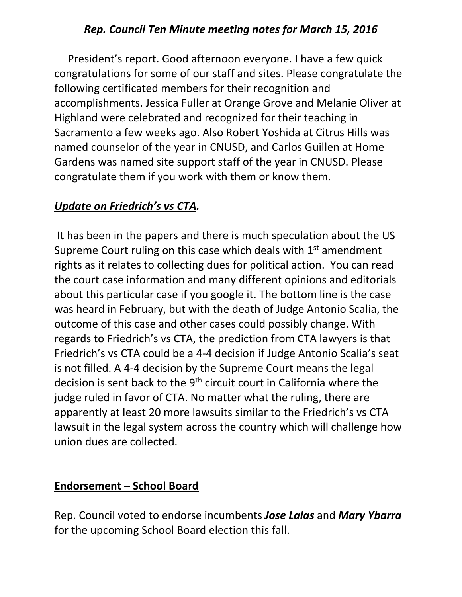### *Rep. Council Ten Minute meeting notes for March 15, 2016*

 President's report. Good afternoon everyone. I have a few quick congratulations for some of our staff and sites. Please congratulate the following certificated members for their recognition and accomplishments. Jessica Fuller at Orange Grove and Melanie Oliver at Highland were celebrated and recognized for their teaching in Sacramento a few weeks ago. Also Robert Yoshida at Citrus Hills was named counselor of the year in CNUSD, and Carlos Guillen at Home Gardens was named site support staff of the year in CNUSD. Please congratulate them if you work with them or know them.

### *Update on Friedrich's vs CTA.*

It has been in the papers and there is much speculation about the US Supreme Court ruling on this case which deals with 1<sup>st</sup> amendment rights as it relates to collecting dues for political action. You can read the court case information and many different opinions and editorials about this particular case if you google it. The bottom line is the case was heard in February, but with the death of Judge Antonio Scalia, the outcome of this case and other cases could possibly change. With regards to Friedrich's vs CTA, the prediction from CTA lawyers is that Friedrich's vs CTA could be a 4-4 decision if Judge Antonio Scalia's seat is not filled. A 4-4 decision by the Supreme Court means the legal decision is sent back to the 9<sup>th</sup> circuit court in California where the judge ruled in favor of CTA. No matter what the ruling, there are apparently at least 20 more lawsuits similar to the Friedrich's vs CTA lawsuit in the legal system across the country which will challenge how union dues are collected.

#### **Endorsement – School Board**

Rep. Council voted to endorse incumbents *Jose Lalas* and *Mary Ybarra* for the upcoming School Board election this fall.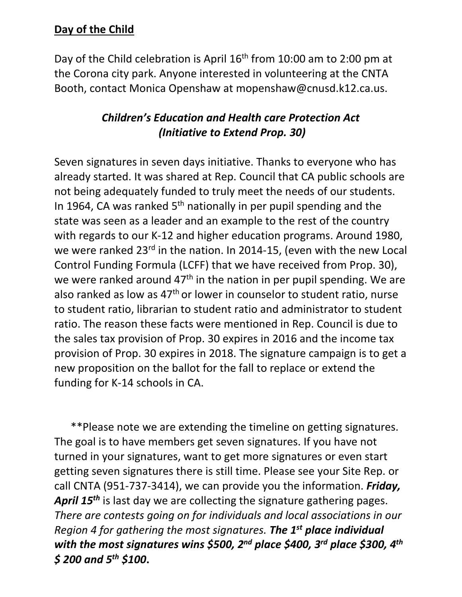## **Day of the Child**

Day of the Child celebration is April 16<sup>th</sup> from 10:00 am to 2:00 pm at the Corona city park. Anyone interested in volunteering at the CNTA Booth, contact Monica Openshaw at mopenshaw@cnusd.k12.ca.us.

# *Children's Education and Health care Protection Act (Initiative to Extend Prop. 30)*

Seven signatures in seven days initiative. Thanks to everyone who has already started. It was shared at Rep. Council that CA public schools are not being adequately funded to truly meet the needs of our students. In 1964, CA was ranked  $5<sup>th</sup>$  nationally in per pupil spending and the state was seen as a leader and an example to the rest of the country with regards to our K-12 and higher education programs. Around 1980, we were ranked 23<sup>rd</sup> in the nation. In 2014-15, (even with the new Local Control Funding Formula (LCFF) that we have received from Prop. 30), we were ranked around 47<sup>th</sup> in the nation in per pupil spending. We are also ranked as low as 47<sup>th</sup> or lower in counselor to student ratio, nurse to student ratio, librarian to student ratio and administrator to student ratio. The reason these facts were mentioned in Rep. Council is due to the sales tax provision of Prop. 30 expires in 2016 and the income tax provision of Prop. 30 expires in 2018. The signature campaign is to get a new proposition on the ballot for the fall to replace or extend the funding for K-14 schools in CA.

 \*\*Please note we are extending the timeline on getting signatures. The goal is to have members get seven signatures. If you have not turned in your signatures, want to get more signatures or even start getting seven signatures there is still time. Please see your Site Rep. or call CNTA (951-737-3414), we can provide you the information. *Friday, April 15th* is last day we are collecting the signature gathering pages. *There are contests going on for individuals and local associations in our Region 4 for gathering the most signatures. The 1st place individual with the most signatures wins \$500, 2nd place \$400, 3rd place \$300, 4th \$ 200 and 5th \$100***.**